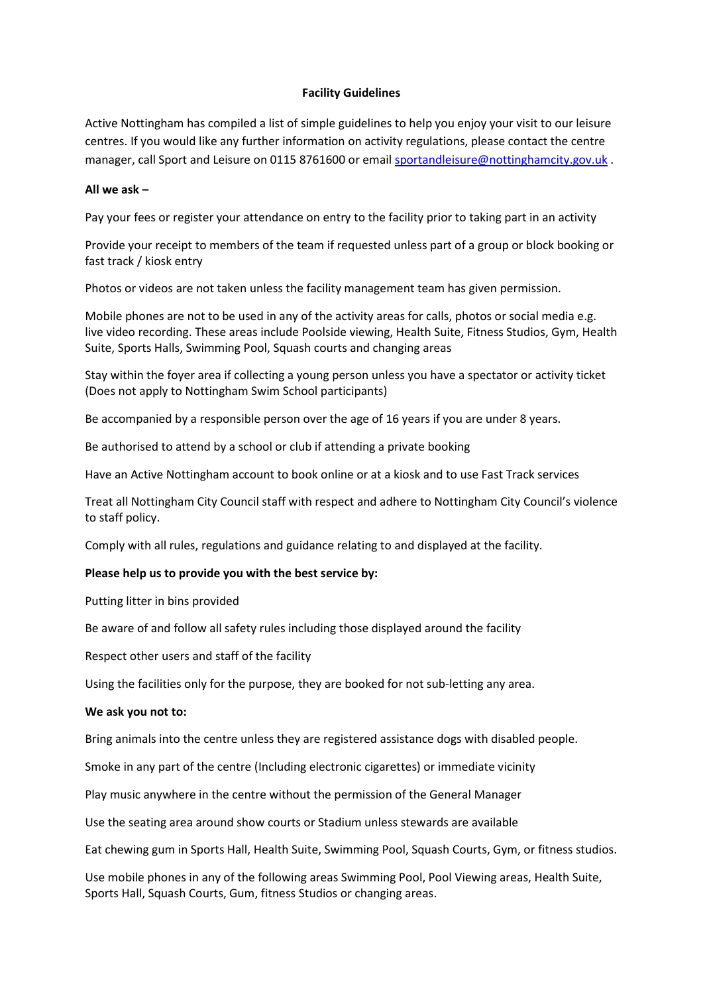#### Facility Guidelines

Active Nottingham has compiled a list of simple guidelines to help you enjoy your visit to our leisure centres. If you would like any further information on activity regulations, please contact the centre manager, call Sport and Leisure on 0115 8761600 or email sportandleisure@nottinghamcity.gov.uk .

## All we ask –

Pay your fees or register your attendance on entry to the facility prior to taking part in an activity

Provide your receipt to members of the team if requested unless part of a group or block booking or fast track / kiosk entry

Photos or videos are not taken unless the facility management team has given permission.

Mobile phones are not to be used in any of the activity areas for calls, photos or social media e.g. live video recording. These areas include Poolside viewing, Health Suite, Fitness Studios, Gym, Health Suite, Sports Halls, Swimming Pool, Squash courts and changing areas

Stay within the foyer area if collecting a young person unless you have a spectator or activity ticket (Does not apply to Nottingham Swim School participants)

Be accompanied by a responsible person over the age of 16 years if you are under 8 years.

Be authorised to attend by a school or club if attending a private booking

Have an Active Nottingham account to book online or at a kiosk and to use Fast Track services

Treat all Nottingham City Council staff with respect and adhere to Nottingham City Council's violence to staff policy.

Comply with all rules, regulations and guidance relating to and displayed at the facility.

## Please help us to provide you with the best service by:

Putting litter in bins provided

Be aware of and follow all safety rules including those displayed around the facility

Respect other users and staff of the facility

Using the facilities only for the purpose, they are booked for not sub-letting any area.

#### We ask you not to:

Bring animals into the centre unless they are registered assistance dogs with disabled people.

Smoke in any part of the centre (Including electronic cigarettes) or immediate vicinity

Play music anywhere in the centre without the permission of the General Manager

Use the seating area around show courts or Stadium unless stewards are available

Eat chewing gum in Sports Hall, Health Suite, Swimming Pool, Squash Courts, Gym, or fitness studios.

Use mobile phones in any of the following areas Swimming Pool, Pool Viewing areas, Health Suite, Sports Hall, Squash Courts, Gum, fitness Studios or changing areas.